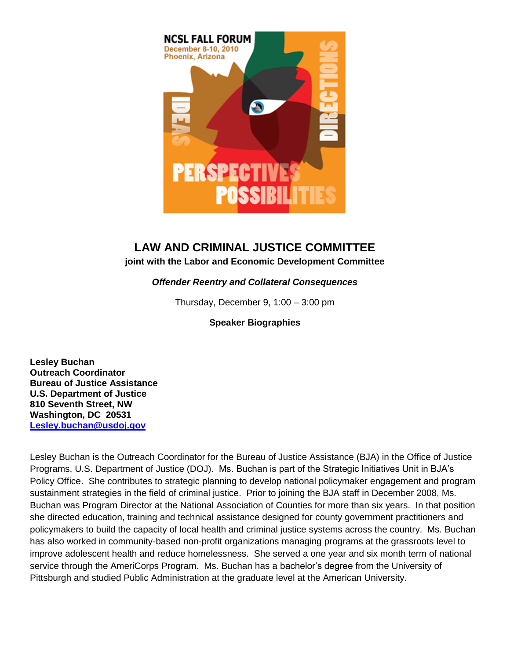

## **LAW AND CRIMINAL JUSTICE COMMITTEE**

**joint with the Labor and Economic Development Committee**

## *Offender Reentry and Collateral Consequences*

Thursday, December 9, 1:00 – 3:00 pm

**Speaker Biographies**

**Lesley Buchan Outreach Coordinator Bureau of Justice Assistance U.S. Department of Justice 810 Seventh Street, NW Washington, DC 20531 [Lesley.buchan@usdoj.gov](mailto:Lesley.buchan@usdoj.gov)**

Lesley Buchan is the Outreach Coordinator for the Bureau of Justice Assistance (BJA) in the Office of Justice Programs, U.S. Department of Justice (DOJ). Ms. Buchan is part of the Strategic Initiatives Unit in BJA's Policy Office. She contributes to strategic planning to develop national policymaker engagement and program sustainment strategies in the field of criminal justice. Prior to joining the BJA staff in December 2008, Ms. Buchan was Program Director at the National Association of Counties for more than six years. In that position she directed education, training and technical assistance designed for county government practitioners and policymakers to build the capacity of local health and criminal justice systems across the country. Ms. Buchan has also worked in community-based non-profit organizations managing programs at the grassroots level to improve adolescent health and reduce homelessness. She served a one year and six month term of national service through the AmeriCorps Program. Ms. Buchan has a bachelor's degree from the University of Pittsburgh and studied Public Administration at the graduate level at the American University.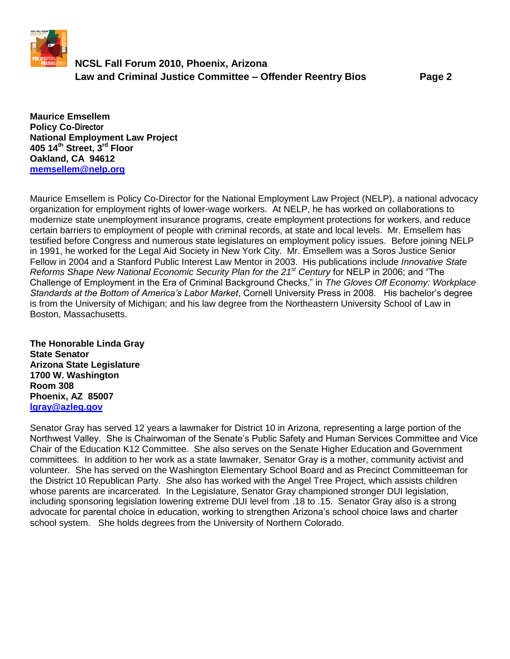

## **NCSL Fall Forum 2010, Phoenix, Arizona Law and Criminal Justice Committee – Offender Reentry Bios Page 2**

**Maurice Emsellem Policy Co-Director National Employment Law Project 405 14th Street, 3rd Floor Oakland, CA 94612 [memsellem@nelp.org](mailto:memsellem@nelp.org)**

Maurice Emsellem is Policy Co-Director for the National Employment Law Project (NELP), a national advocacy organization for employment rights of lower-wage workers. At NELP, he has worked on collaborations to modernize state unemployment insurance programs, create employment protections for workers, and reduce certain barriers to employment of people with criminal records, at state and local levels. Mr. Emsellem has testified before Congress and numerous state legislatures on employment policy issues. Before joining NELP in 1991, he worked for the Legal Aid Society in New York City. Mr. Emsellem was a Soros Justice Senior Fellow in 2004 and a Stanford Public Interest Law Mentor in 2003. His publications include *Innovative State Reforms Shape New National Economic Security Plan for the 21st Century* for NELP in 2006; and "The Challenge of Employment in the Era of Criminal Background Checks," in *The Gloves Off Economy: Workplace Standards at the Bottom of America's Labor Market*, Cornell University Press in 2008. His bachelor's degree is from the University of Michigan; and his law degree from the Northeastern University School of Law in Boston, Massachusetts.

**The Honorable Linda Gray State Senator Arizona State Legislature 1700 W. Washington Room 308 Phoenix, AZ 85007 [lgray@azleg.gov](mailto:lgray@azleg.gov)**

Senator Gray has served 12 years a lawmaker for District 10 in Arizona, representing a large portion of the Northwest Valley. She is Chairwoman of the Senate's Public Safety and Human Services Committee and Vice Chair of the Education K12 Committee. She also serves on the Senate Higher Education and Government committees. In addition to her work as a state lawmaker, Senator Gray is a mother, community activist and volunteer. She has served on the Washington Elementary School Board and as Precinct Committeeman for the District 10 Republican Party. She also has worked with the Angel Tree Project, which assists children whose parents are incarcerated. In the Legislature, Senator Gray championed stronger DUI legislation, including sponsoring legislation lowering extreme DUI level from .18 to .15. Senator Gray also is a strong advocate for parental choice in education, working to strengthen Arizona's school choice laws and charter school system. She holds degrees from the University of Northern Colorado.